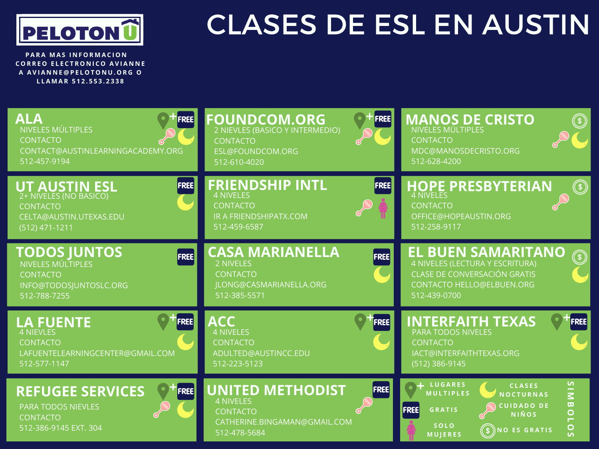

## CLASES DE ESL EN AUSTIN

**PARA MAS INFORMACION**  $C$  **CORREO ELECTRONICO AVIANNE A A V I A N N E @ P E L O T O N U . O R G O L L A M A R 5 1 2 . 5 5 3 . 2 3 3 8**

| ALA                                                                                                                             | <b>FOUNDCOM.ORG</b>                                                                                                           | <b>MANOS DE CRISTO</b>                                                                                                                                                                                                                                                                                      |
|---------------------------------------------------------------------------------------------------------------------------------|-------------------------------------------------------------------------------------------------------------------------------|-------------------------------------------------------------------------------------------------------------------------------------------------------------------------------------------------------------------------------------------------------------------------------------------------------------|
| <b>FREE</b>                                                                                                                     | FREE                                                                                                                          | $\circledast$                                                                                                                                                                                                                                                                                               |
| NIVELES MÚLTIPLES                                                                                                               | 2 NIEVLES (BASICO Y INTERMEDIO)                                                                                               | NIVELES MÚLTIPLES                                                                                                                                                                                                                                                                                           |
| <b>CONTACTO</b>                                                                                                                 | <b>CONTACTO</b>                                                                                                               | <b>CONTACTO</b>                                                                                                                                                                                                                                                                                             |
| CONTACT@AUSTINLEARNINGACADEMY.ORG                                                                                               | ESL@FOUNDCOM.ORG                                                                                                              | MDC@MANOSDECRISTO.ORG                                                                                                                                                                                                                                                                                       |
| 512-457-9194                                                                                                                    | 512-610-4020                                                                                                                  | 512-628-4200                                                                                                                                                                                                                                                                                                |
| <b>FREE</b><br><b>UT AUSTIN ESL</b><br>2+ NIVELES (NO BASICO)<br><b>CONTACTO</b><br>CELTA@AUSTIN.UTEXAS.EDU<br>$(512)$ 471-1211 | <b>FRIENDSHIP INTL</b><br><b>FREE</b><br><b>4 NIVELES</b><br><b>CONTACTO</b><br>IR A FRIENDSHIPATX.COM<br>512-459-6587        | HOPE PRESBYTERIAN<br>$\bigcirc$<br><b>CONTACTO</b><br>OFFICE@HOPEAUSTIN.ORG<br>512-258-9117                                                                                                                                                                                                                 |
| <b>TODOS JUNTOS</b>                                                                                                             | <b>CASA MARIANELLA</b>                                                                                                        | <b>EL BUEN SAMARITANO</b>                                                                                                                                                                                                                                                                                   |
| FREE                                                                                                                            | <b>FREE</b>                                                                                                                   | G)                                                                                                                                                                                                                                                                                                          |
| NIVELES MÚLTIPLES                                                                                                               | 2 NIVELES                                                                                                                     | 4 NIVELES (LECTURA Y ESCRITURA)                                                                                                                                                                                                                                                                             |
| <b>CONTACTO</b>                                                                                                                 | <b>CONTACTO</b>                                                                                                               | <b>CLASE DE CONVERSACIÓN GRATIS</b>                                                                                                                                                                                                                                                                         |
| INFO@TODOSJUNTOSLC.ORG                                                                                                          | ILONG@CASMARIANELLA.ORG                                                                                                       | <b>CONTACTO HELLO@ELBUEN.ORG</b>                                                                                                                                                                                                                                                                            |
| 512-788-7255                                                                                                                    | 512-385-5571                                                                                                                  | 512-439-0700                                                                                                                                                                                                                                                                                                |
| <b>LA FUENTE</b>                                                                                                                | <b>ACC</b>                                                                                                                    | <b>INTERFAITH TEXAS</b>                                                                                                                                                                                                                                                                                     |
| <b>FREE</b>                                                                                                                     | <b>FREE</b>                                                                                                                   | FREE                                                                                                                                                                                                                                                                                                        |
| 4 NIEVLES                                                                                                                       | <b>4 NIVELES</b>                                                                                                              | <b>PARA TODOS NIVELES</b>                                                                                                                                                                                                                                                                                   |
| <b>CONTACTO</b>                                                                                                                 | <b>CONTACTO</b>                                                                                                               | <b>CONTACTO</b>                                                                                                                                                                                                                                                                                             |
| LAFUENTELEARNINGCENTER@GMAIL.COM                                                                                                | ADULTED@AUSTINCC.EDU                                                                                                          | IACT@INTERFAITHTEXAS.ORG                                                                                                                                                                                                                                                                                    |
| 512-577-1147                                                                                                                    | 512-223-5123                                                                                                                  | (512) 386-9145                                                                                                                                                                                                                                                                                              |
| <b>REFUGEE SERVICES</b><br><b>FREE</b><br><b>PARA TODOS NIEVLES</b><br><b>CONTACTO</b><br>512-386-9145 EXT. 304                 | <b>UNITED METHODIST</b><br><b>FREE</b><br><b>4 NIVELES</b><br><b>CONTACTO</b><br>CATHERINE.BINGAMAN@GMAIL.COM<br>512-478-5684 | $\mathsf{S}$<br>+ LUGARES<br><b>CLASES</b><br>$\frac{1}{2}$<br><b>MULTIPLES</b><br><b>NOCTURNAS</b><br>$\overline{\mathbf{u}}$<br><b>CUIDADO DE</b><br><b>FREE</b><br><b>GRATIS</b><br>$\overline{O}$<br><b>NIÑOS</b><br><b>SOLO</b><br>O<br>$(\text{\$})$ NO ES GRATIS<br><b>MUJERES</b><br>$\overline{a}$ |